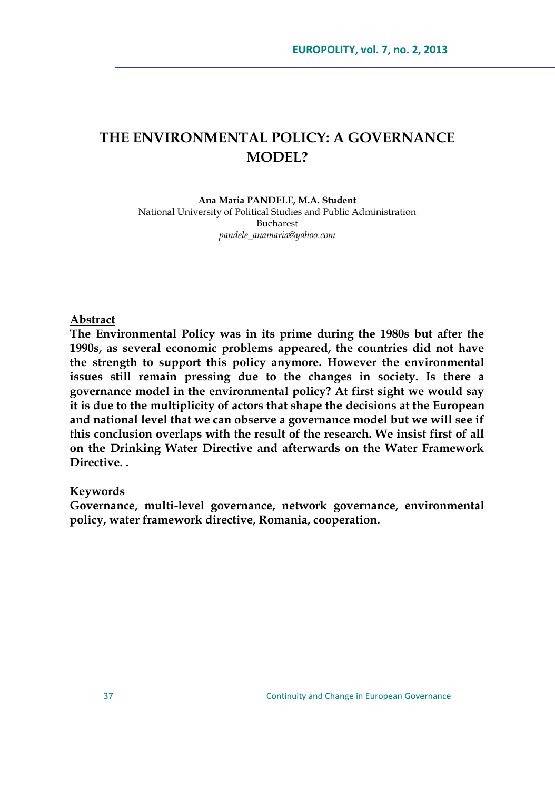# **THE ENVIRONMENTAL POLICY: A GOVERNANCE MODEL?**

#### **Ana Maria PANDELE, M.A. Student** National University of Political Studies and Public Administration Bucharest *[pandele\\_anamaria@yahoo.com](mailto:pandele_anamaria@yahoo.com)*

#### **Abstract**

**The Environmental Policy was in its prime during the 1980s but after the 1990s, as several economic problems appeared, the countries did not have the strength to support this policy anymore. However the environmental issues still remain pressing due to the changes in society. Is there a governance model in the environmental policy? At first sight we would say it is due to the multiplicity of actors that shape the decisions at the European and national level that we can observe a governance model but we will see if this conclusion overlaps with the result of the research. We insist first of all on the Drinking Water Directive and afterwards on the Water Framework Directive. .**

#### **Keywords**

**Governance, multi-level governance, network governance, environmental policy, water framework directive, Romania, cooperation.**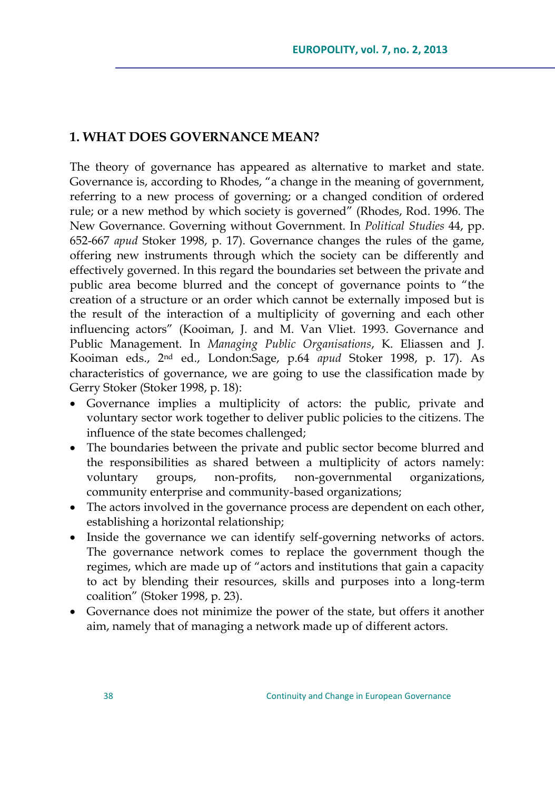# **1. WHAT DOES GOVERNANCE MEAN?**

The theory of governance has appeared as alternative to market and state. Governance is, according to Rhodes, "a change in the meaning of government, referring to a new process of governing; or a changed condition of ordered rule; or a new method by which society is governed" (Rhodes, Rod. 1996. The New Governance. Governing without Government. In *Political Studies* 44, pp. 652-667 *apud* Stoker 1998, p. 17). Governance changes the rules of the game, offering new instruments through which the society can be differently and effectively governed. In this regard the boundaries set between the private and public area become blurred and the concept of governance points to "the creation of a structure or an order which cannot be externally imposed but is the result of the interaction of a multiplicity of governing and each other influencing actors" (Kooiman, J. and M. Van Vliet. 1993. Governance and Public Management. In *Managing Public Organisations*, K. Eliassen and J. Kooiman eds., 2nd ed., London:Sage, p.64 *apud* Stoker 1998, p. 17). As characteristics of governance, we are going to use the classification made by Gerry Stoker (Stoker 1998, p. 18):

- Governance implies a multiplicity of actors: the public, private and voluntary sector work together to deliver public policies to the citizens. The influence of the state becomes challenged;
- The boundaries between the private and public sector become blurred and the responsibilities as shared between a multiplicity of actors namely: voluntary groups, non-profits, non-governmental organizations, community enterprise and community-based organizations;
- The actors involved in the governance process are dependent on each other, establishing a horizontal relationship;
- Inside the governance we can identify self-governing networks of actors. The governance network comes to replace the government though the regimes, which are made up of "actors and institutions that gain a capacity to act by blending their resources, skills and purposes into a long-term coalition" (Stoker 1998, p. 23).
- Governance does not minimize the power of the state, but offers it another aim, namely that of managing a network made up of different actors.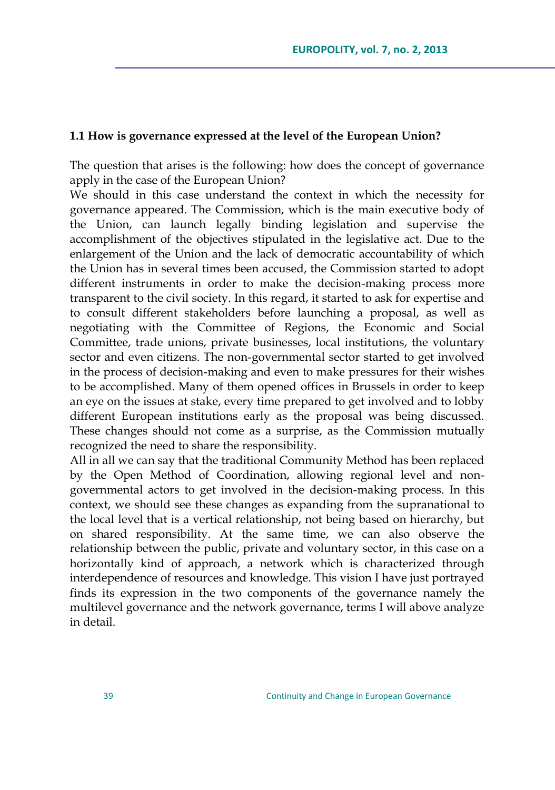#### **1.1 How is governance expressed at the level of the European Union?**

The question that arises is the following: how does the concept of governance apply in the case of the European Union?

We should in this case understand the context in which the necessity for governance appeared. The Commission, which is the main executive body of the Union, can launch legally binding legislation and supervise the accomplishment of the objectives stipulated in the legislative act. Due to the enlargement of the Union and the lack of democratic accountability of which the Union has in several times been accused, the Commission started to adopt different instruments in order to make the decision-making process more transparent to the civil society. In this regard, it started to ask for expertise and to consult different stakeholders before launching a proposal, as well as negotiating with the Committee of Regions, the Economic and Social Committee, trade unions, private businesses, local institutions, the voluntary sector and even citizens. The non-governmental sector started to get involved in the process of decision-making and even to make pressures for their wishes to be accomplished. Many of them opened offices in Brussels in order to keep an eye on the issues at stake, every time prepared to get involved and to lobby different European institutions early as the proposal was being discussed. These changes should not come as a surprise, as the Commission mutually recognized the need to share the responsibility.

All in all we can say that the traditional Community Method has been replaced by the Open Method of Coordination, allowing regional level and nongovernmental actors to get involved in the decision-making process. In this context, we should see these changes as expanding from the supranational to the local level that is a vertical relationship, not being based on hierarchy, but on shared responsibility. At the same time, we can also observe the relationship between the public, private and voluntary sector, in this case on a horizontally kind of approach, a network which is characterized through interdependence of resources and knowledge. This vision I have just portrayed finds its expression in the two components of the governance namely the multilevel governance and the network governance, terms I will above analyze in detail.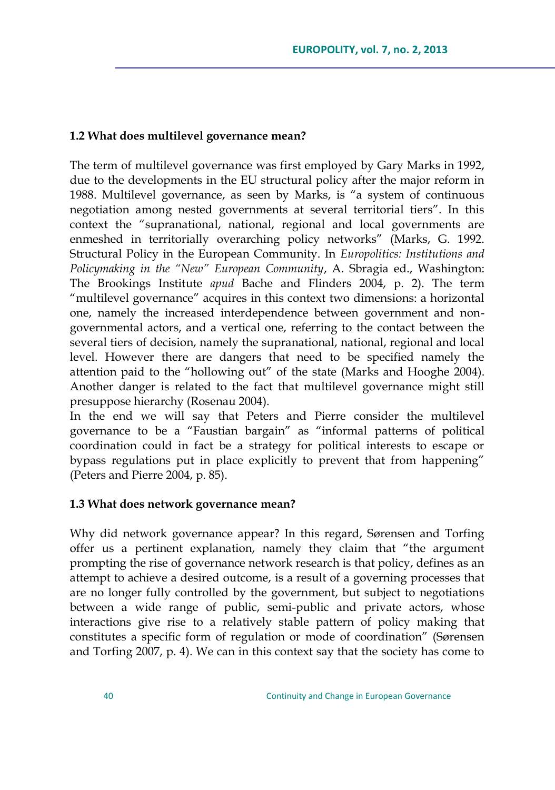# **1.2 What does multilevel governance mean?**

The term of multilevel governance was first employed by Gary Marks in 1992, due to the developments in the EU structural policy after the major reform in 1988. Multilevel governance, as seen by Marks, is "a system of continuous negotiation among nested governments at several territorial tiers". In this context the "supranational, national, regional and local governments are enmeshed in territorially overarching policy networks" (Marks, G. 1992. Structural Policy in the European Community. In *Europolitics: Institutions and Policymaking in the "New" European Community*, A. Sbragia ed., Washington: The Brookings Institute *apud* Bache and Flinders 2004, p. 2). The term "multilevel governance" acquires in this context two dimensions: a horizontal one, namely the increased interdependence between government and nongovernmental actors, and a vertical one, referring to the contact between the several tiers of decision, namely the supranational, national, regional and local level. However there are dangers that need to be specified namely the attention paid to the "hollowing out" of the state (Marks and Hooghe 2004). Another danger is related to the fact that multilevel governance might still presuppose hierarchy (Rosenau 2004).

In the end we will say that Peters and Pierre consider the multilevel governance to be a "Faustian bargain" as "informal patterns of political coordination could in fact be a strategy for political interests to escape or bypass regulations put in place explicitly to prevent that from happening" (Peters and Pierre 2004, p. 85).

#### **1.3 What does network governance mean?**

Why did network governance appear? In this regard, Sørensen and Torfing offer us a pertinent explanation, namely they claim that "the argument prompting the rise of governance network research is that policy, defines as an attempt to achieve a desired outcome, is a result of a governing processes that are no longer fully controlled by the government, but subject to negotiations between a wide range of public, semi-public and private actors, whose interactions give rise to a relatively stable pattern of policy making that constitutes a specific form of regulation or mode of coordination" (Sørensen and Torfing 2007, p. 4). We can in this context say that the society has come to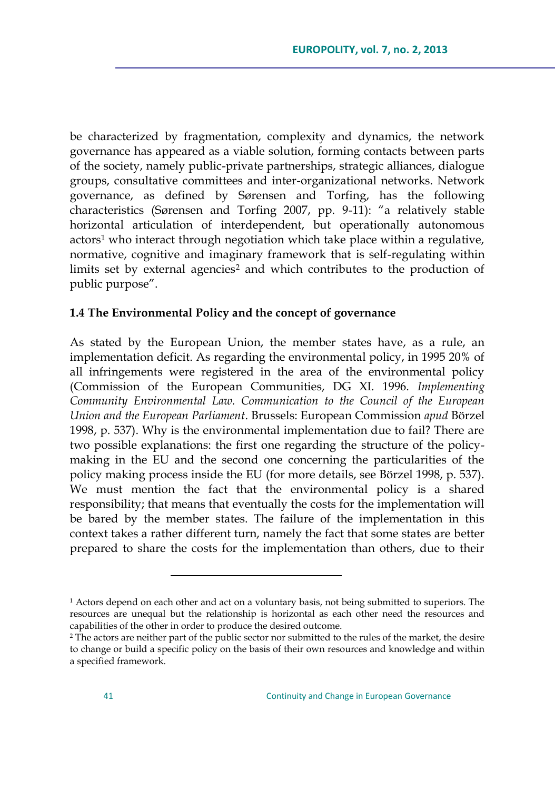be characterized by fragmentation, complexity and dynamics, the network governance has appeared as a viable solution, forming contacts between parts of the society, namely public-private partnerships, strategic alliances, dialogue groups, consultative committees and inter-organizational networks. Network governance, as defined by Sørensen and Torfing, has the following characteristics (Sørensen and Torfing 2007, pp. 9-11): "a relatively stable horizontal articulation of interdependent, but operationally autonomous actors<sup>1</sup> who interact through negotiation which take place within a regulative, normative, cognitive and imaginary framework that is self-regulating within limits set by external agencies<sup>2</sup> and which contributes to the production of public purpose".

# **1.4 The Environmental Policy and the concept of governance**

As stated by the European Union, the member states have, as a rule, an implementation deficit. As regarding the environmental policy, in 1995 20% of all infringements were registered in the area of the environmental policy (Commission of the European Communities, DG XI. 1996. *Implementing Community Environmental Law. Communication to the Council of the European Union and the European Parliament*. Brussels: European Commission *apud* Börzel 1998, p. 537). Why is the environmental implementation due to fail? There are two possible explanations: the first one regarding the structure of the policymaking in the EU and the second one concerning the particularities of the policy making process inside the EU (for more details, see Börzel 1998, p. 537). We must mention the fact that the environmental policy is a shared responsibility; that means that eventually the costs for the implementation will be bared by the member states. The failure of the implementation in this context takes a rather different turn, namely the fact that some states are better prepared to share the costs for the implementation than others, due to their

<sup>&</sup>lt;sup>1</sup> Actors depend on each other and act on a voluntary basis, not being submitted to superiors. The resources are unequal but the relationship is horizontal as each other need the resources and capabilities of the other in order to produce the desired outcome.

<sup>2</sup> The actors are neither part of the public sector nor submitted to the rules of the market, the desire to change or build a specific policy on the basis of their own resources and knowledge and within a specified framework.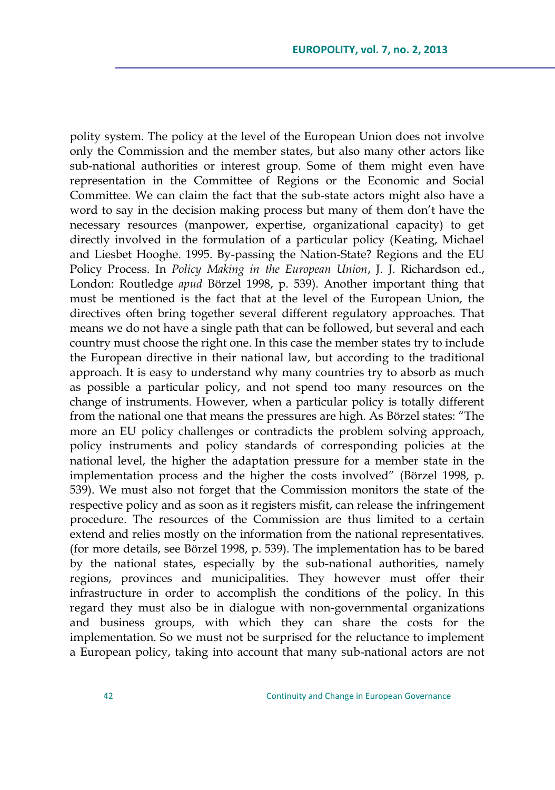polity system. The policy at the level of the European Union does not involve only the Commission and the member states, but also many other actors like sub-national authorities or interest group. Some of them might even have representation in the Committee of Regions or the Economic and Social Committee. We can claim the fact that the sub-state actors might also have a word to say in the decision making process but many of them don"t have the necessary resources (manpower, expertise, organizational capacity) to get directly involved in the formulation of a particular policy (Keating, Michael and Liesbet Hooghe. 1995. By-passing the Nation-State? Regions and the EU Policy Process. In *Policy Making in the European Union*, J. J. Richardson ed., London: Routledge *apud* Börzel 1998, p. 539). Another important thing that must be mentioned is the fact that at the level of the European Union, the directives often bring together several different regulatory approaches. That means we do not have a single path that can be followed, but several and each country must choose the right one. In this case the member states try to include the European directive in their national law, but according to the traditional approach. It is easy to understand why many countries try to absorb as much as possible a particular policy, and not spend too many resources on the change of instruments. However, when a particular policy is totally different from the national one that means the pressures are high. As Börzel states: "The more an EU policy challenges or contradicts the problem solving approach, policy instruments and policy standards of corresponding policies at the national level, the higher the adaptation pressure for a member state in the implementation process and the higher the costs involved" (Börzel 1998, p. 539). We must also not forget that the Commission monitors the state of the respective policy and as soon as it registers misfit, can release the infringement procedure. The resources of the Commission are thus limited to a certain extend and relies mostly on the information from the national representatives. (for more details, see Börzel 1998, p. 539). The implementation has to be bared by the national states, especially by the sub-national authorities, namely regions, provinces and municipalities. They however must offer their infrastructure in order to accomplish the conditions of the policy. In this regard they must also be in dialogue with non-governmental organizations and business groups, with which they can share the costs for the implementation. So we must not be surprised for the reluctance to implement a European policy, taking into account that many sub-national actors are not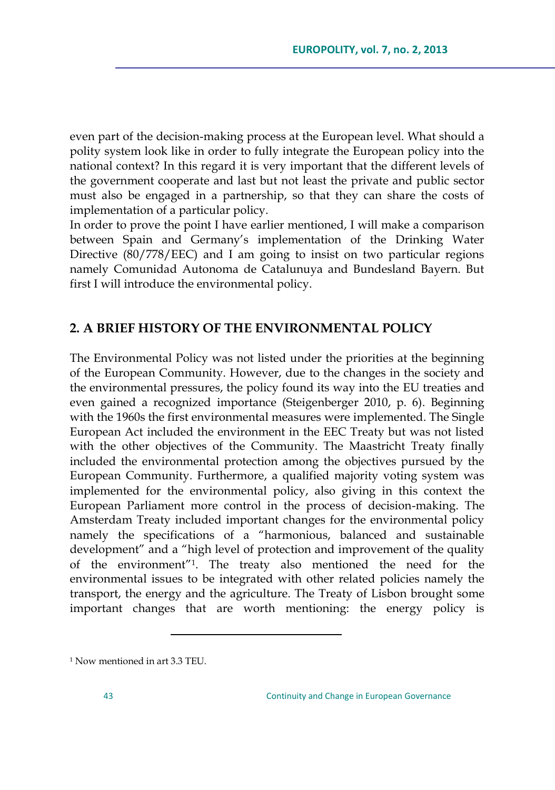even part of the decision-making process at the European level. What should a polity system look like in order to fully integrate the European policy into the national context? In this regard it is very important that the different levels of the government cooperate and last but not least the private and public sector must also be engaged in a partnership, so that they can share the costs of implementation of a particular policy.

In order to prove the point I have earlier mentioned, I will make a comparison between Spain and Germany"s implementation of the Drinking Water Directive (80/778/EEC) and I am going to insist on two particular regions namely Comunidad Autonoma de Catalunuya and Bundesland Bayern. But first I will introduce the environmental policy.

# **2. A BRIEF HISTORY OF THE ENVIRONMENTAL POLICY**

The Environmental Policy was not listed under the priorities at the beginning of the European Community. However, due to the changes in the society and the environmental pressures, the policy found its way into the EU treaties and even gained a recognized importance (Steigenberger 2010, p. 6). Beginning with the 1960s the first environmental measures were implemented. The Single European Act included the environment in the EEC Treaty but was not listed with the other objectives of the Community. The Maastricht Treaty finally included the environmental protection among the objectives pursued by the European Community. Furthermore, a qualified majority voting system was implemented for the environmental policy, also giving in this context the European Parliament more control in the process of decision-making. The Amsterdam Treaty included important changes for the environmental policy namely the specifications of a "harmonious, balanced and sustainable development" and a "high level of protection and improvement of the quality of the environment"<sup>1</sup> . The treaty also mentioned the need for the environmental issues to be integrated with other related policies namely the transport, the energy and the agriculture. The Treaty of Lisbon brought some important changes that are worth mentioning: the energy policy is

<sup>1</sup> Now mentioned in art 3.3 TEU.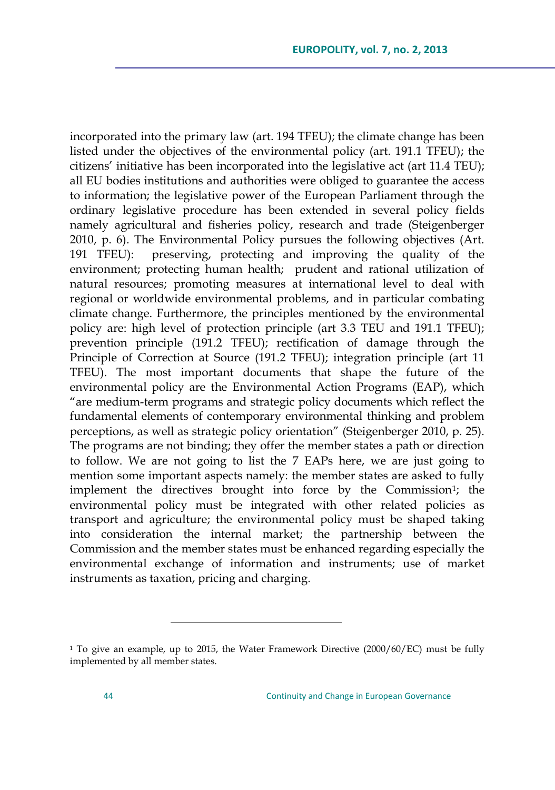incorporated into the primary law (art. 194 TFEU); the climate change has been listed under the objectives of the environmental policy (art. 191.1 TFEU); the citizens" initiative has been incorporated into the legislative act (art 11.4 TEU); all EU bodies institutions and authorities were obliged to guarantee the access to information; the legislative power of the European Parliament through the ordinary legislative procedure has been extended in several policy fields namely agricultural and fisheries policy, research and trade (Steigenberger 2010, p. 6). The Environmental Policy pursues the following objectives (Art. 191 TFEU): preserving, protecting and improving the quality of the environment; protecting human health; prudent and rational utilization of natural resources; promoting measures at international level to deal with regional or worldwide environmental problems, and in particular combating climate change. Furthermore, the principles mentioned by the environmental policy are: high level of protection principle (art 3.3 TEU and 191.1 TFEU); prevention principle (191.2 TFEU); rectification of damage through the Principle of Correction at Source (191.2 TFEU); integration principle (art 11 TFEU). The most important documents that shape the future of the environmental policy are the Environmental Action Programs (EAP), which "are medium-term programs and strategic policy documents which reflect the fundamental elements of contemporary environmental thinking and problem perceptions, as well as strategic policy orientation" (Steigenberger 2010, p. 25). The programs are not binding; they offer the member states a path or direction to follow. We are not going to list the 7 EAPs here, we are just going to mention some important aspects namely: the member states are asked to fully implement the directives brought into force by the Commission<sup>1</sup>; the environmental policy must be integrated with other related policies as transport and agriculture; the environmental policy must be shaped taking into consideration the internal market; the partnership between the Commission and the member states must be enhanced regarding especially the environmental exchange of information and instruments; use of market instruments as taxation, pricing and charging.

<sup>&</sup>lt;sup>1</sup> To give an example, up to 2015, the Water Framework Directive (2000/60/EC) must be fully implemented by all member states.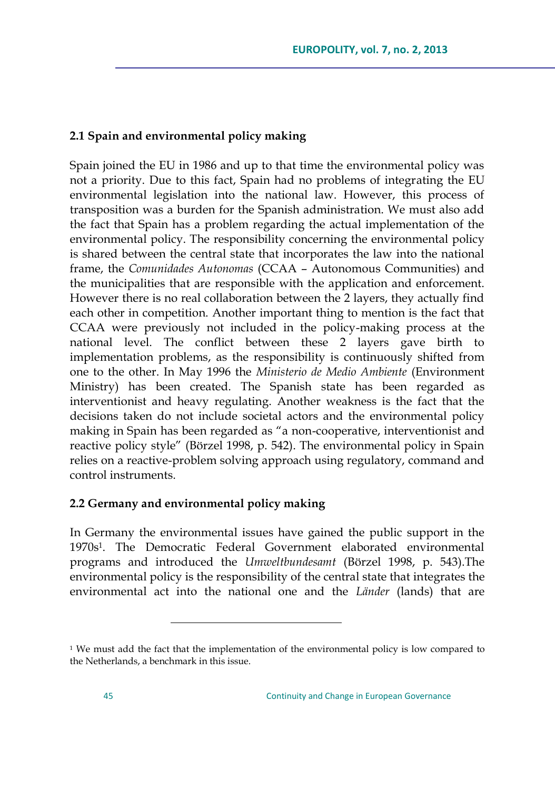# **2.1 Spain and environmental policy making**

Spain joined the EU in 1986 and up to that time the environmental policy was not a priority. Due to this fact, Spain had no problems of integrating the EU environmental legislation into the national law. However, this process of transposition was a burden for the Spanish administration. We must also add the fact that Spain has a problem regarding the actual implementation of the environmental policy. The responsibility concerning the environmental policy is shared between the central state that incorporates the law into the national frame, the *Comunidades Autonomas* (CCAA – Autonomous Communities) and the municipalities that are responsible with the application and enforcement. However there is no real collaboration between the 2 layers, they actually find each other in competition. Another important thing to mention is the fact that CCAA were previously not included in the policy-making process at the national level. The conflict between these 2 layers gave birth to implementation problems, as the responsibility is continuously shifted from one to the other. In May 1996 the *Ministerio de Medio Ambiente* (Environment Ministry) has been created. The Spanish state has been regarded as interventionist and heavy regulating. Another weakness is the fact that the decisions taken do not include societal actors and the environmental policy making in Spain has been regarded as "a non-cooperative, interventionist and reactive policy style" (Börzel 1998, p. 542). The environmental policy in Spain relies on a reactive-problem solving approach using regulatory, command and control instruments.

# **2.2 Germany and environmental policy making**

 $\overline{a}$ 

In Germany the environmental issues have gained the public support in the 1970s<sup>1</sup> . The Democratic Federal Government elaborated environmental programs and introduced the *Umweltbundesamt* (Börzel 1998, p. 543).The environmental policy is the responsibility of the central state that integrates the environmental act into the national one and the *Länder* (lands) that are

<sup>&</sup>lt;sup>1</sup> We must add the fact that the implementation of the environmental policy is low compared to the Netherlands, a benchmark in this issue.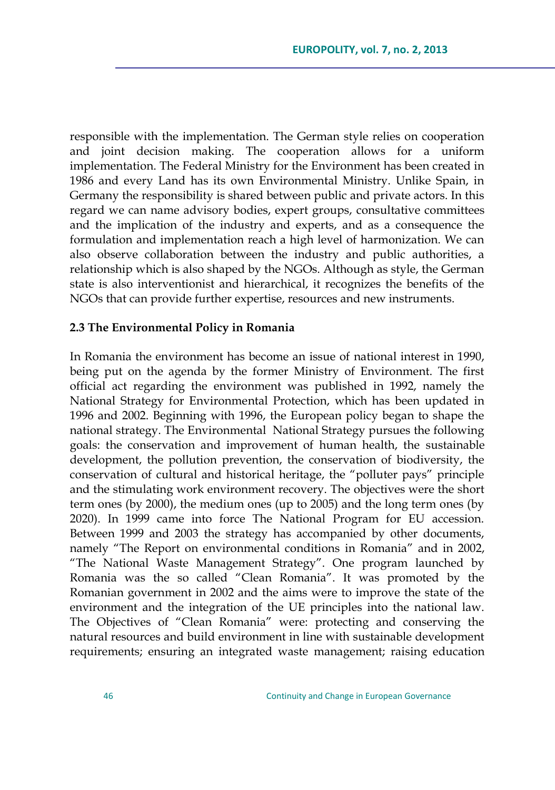responsible with the implementation. The German style relies on cooperation and joint decision making. The cooperation allows for a uniform implementation. The Federal Ministry for the Environment has been created in 1986 and every Land has its own Environmental Ministry. Unlike Spain, in Germany the responsibility is shared between public and private actors. In this regard we can name advisory bodies, expert groups, consultative committees and the implication of the industry and experts, and as a consequence the formulation and implementation reach a high level of harmonization. We can also observe collaboration between the industry and public authorities, a relationship which is also shaped by the NGOs. Although as style, the German state is also interventionist and hierarchical, it recognizes the benefits of the NGOs that can provide further expertise, resources and new instruments.

#### **2.3 The Environmental Policy in Romania**

In Romania the environment has become an issue of national interest in 1990, being put on the agenda by the former Ministry of Environment. The first official act regarding the environment was published in 1992, namely the National Strategy for Environmental Protection, which has been updated in 1996 and 2002. Beginning with 1996, the European policy began to shape the national strategy. The Environmental National Strategy pursues the following goals: the conservation and improvement of human health, the sustainable development, the pollution prevention, the conservation of biodiversity, the conservation of cultural and historical heritage, the "polluter pays" principle and the stimulating work environment recovery. The objectives were the short term ones (by 2000), the medium ones (up to 2005) and the long term ones (by 2020). In 1999 came into force The National Program for EU accession. Between 1999 and 2003 the strategy has accompanied by other documents, namely "The Report on environmental conditions in Romania" and in 2002, "The National Waste Management Strategy". One program launched by Romania was the so called "Clean Romania". It was promoted by the Romanian government in 2002 and the aims were to improve the state of the environment and the integration of the UE principles into the national law. The Objectives of "Clean Romania" were: protecting and conserving the natural resources and build environment in line with sustainable development requirements; ensuring an integrated waste management; raising education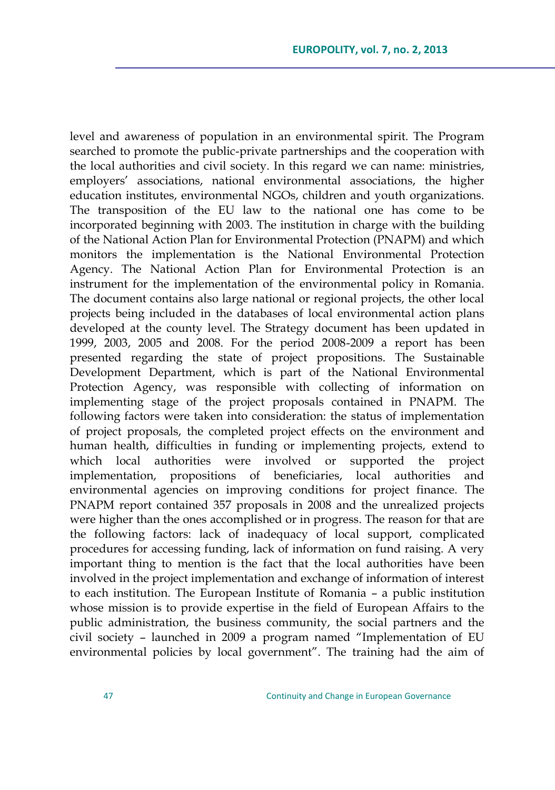level and awareness of population in an environmental spirit. The Program searched to promote the public-private partnerships and the cooperation with the local authorities and civil society. In this regard we can name: ministries, employers" associations, national environmental associations, the higher education institutes, environmental NGOs, children and youth organizations. The transposition of the EU law to the national one has come to be incorporated beginning with 2003. The institution in charge with the building of the National Action Plan for Environmental Protection (PNAPM) and which monitors the implementation is the National Environmental Protection Agency. The National Action Plan for Environmental Protection is an instrument for the implementation of the environmental policy in Romania. The document contains also large national or regional projects, the other local projects being included in the databases of local environmental action plans developed at the county level. The Strategy document has been updated in 1999, 2003, 2005 and 2008. For the period 2008-2009 a report has been presented regarding the state of project propositions. The Sustainable Development Department, which is part of the National Environmental Protection Agency, was responsible with collecting of information on implementing stage of the project proposals contained in PNAPM. The following factors were taken into consideration: the status of implementation of project proposals, the completed project effects on the environment and human health, difficulties in funding or implementing projects, extend to which local authorities were involved or supported the project implementation, propositions of beneficiaries, local authorities and environmental agencies on improving conditions for project finance. The PNAPM report contained 357 proposals in 2008 and the unrealized projects were higher than the ones accomplished or in progress. The reason for that are the following factors: lack of inadequacy of local support, complicated procedures for accessing funding, lack of information on fund raising. A very important thing to mention is the fact that the local authorities have been involved in the project implementation and exchange of information of interest to each institution. The European Institute of Romania – a public institution whose mission is to provide expertise in the field of European Affairs to the public administration, the business community, the social partners and the civil society – launched in 2009 a program named "Implementation of EU environmental policies by local government". The training had the aim of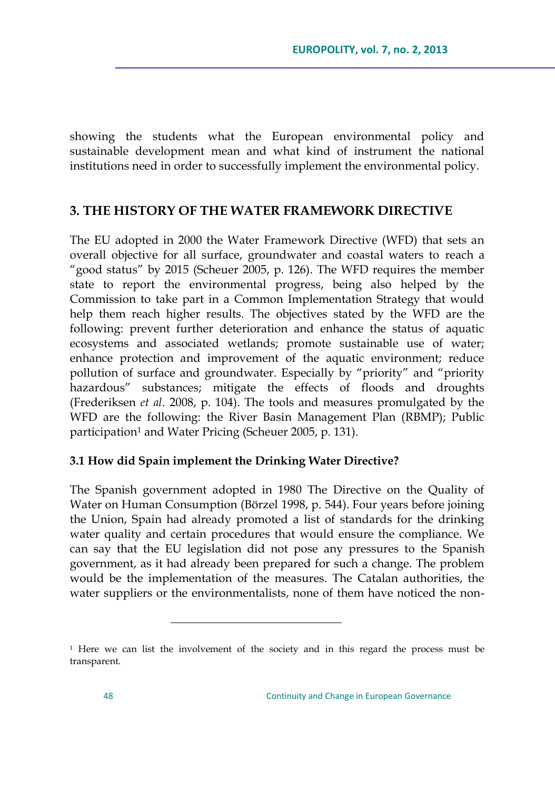showing the students what the European environmental policy and sustainable development mean and what kind of instrument the national institutions need in order to successfully implement the environmental policy.

# **3. THE HISTORY OF THE WATER FRAMEWORK DIRECTIVE**

The EU adopted in 2000 the Water Framework Directive (WFD) that sets an overall objective for all surface, groundwater and coastal waters to reach a "good status" by 2015 (Scheuer 2005, p. 126). The WFD requires the member state to report the environmental progress, being also helped by the Commission to take part in a Common Implementation Strategy that would help them reach higher results. The objectives stated by the WFD are the following: prevent further deterioration and enhance the status of aquatic ecosystems and associated wetlands; promote sustainable use of water; enhance protection and improvement of the aquatic environment; reduce pollution of surface and groundwater. Especially by "priority" and "priority hazardous" substances; mitigate the effects of floods and droughts (Frederiksen *et al*. 2008, p. 104). The tools and measures promulgated by the WFD are the following: the River Basin Management Plan (RBMP); Public participation<sup>1</sup> and Water Pricing (Scheuer 2005, p. 131).

# **3.1 How did Spain implement the Drinking Water Directive?**

The Spanish government adopted in 1980 The Directive on the Quality of Water on Human Consumption (Börzel 1998, p. 544). Four years before joining the Union, Spain had already promoted a list of standards for the drinking water quality and certain procedures that would ensure the compliance. We can say that the EU legislation did not pose any pressures to the Spanish government, as it had already been prepared for such a change. The problem would be the implementation of the measures. The Catalan authorities, the water suppliers or the environmentalists, none of them have noticed the non-

<sup>1</sup> Here we can list the involvement of the society and in this regard the process must be transparent.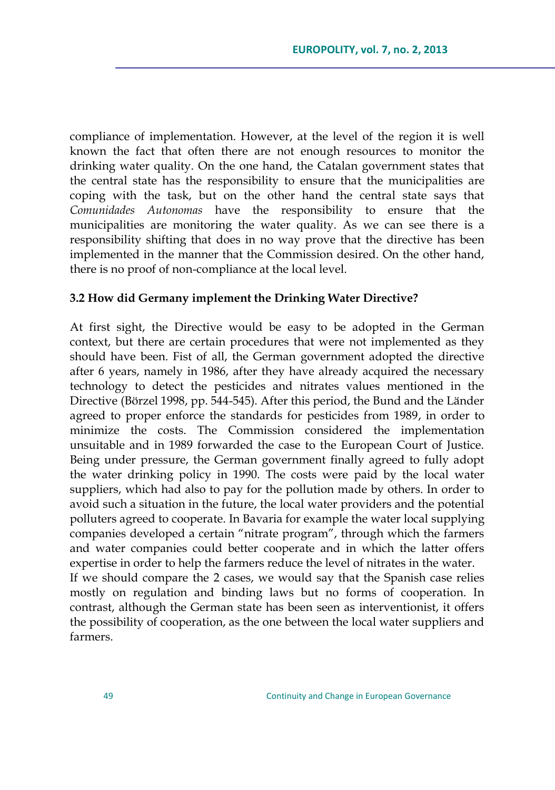compliance of implementation. However, at the level of the region it is well known the fact that often there are not enough resources to monitor the drinking water quality. On the one hand, the Catalan government states that the central state has the responsibility to ensure that the municipalities are coping with the task, but on the other hand the central state says that *Comunidades Autonomas* have the responsibility to ensure that the municipalities are monitoring the water quality. As we can see there is a responsibility shifting that does in no way prove that the directive has been implemented in the manner that the Commission desired. On the other hand, there is no proof of non-compliance at the local level.

# **3.2 How did Germany implement the Drinking Water Directive?**

At first sight, the Directive would be easy to be adopted in the German context, but there are certain procedures that were not implemented as they should have been. Fist of all, the German government adopted the directive after 6 years, namely in 1986, after they have already acquired the necessary technology to detect the pesticides and nitrates values mentioned in the Directive (Börzel 1998, pp. 544-545). After this period, the Bund and the Länder agreed to proper enforce the standards for pesticides from 1989, in order to minimize the costs. The Commission considered the implementation unsuitable and in 1989 forwarded the case to the European Court of Justice. Being under pressure, the German government finally agreed to fully adopt the water drinking policy in 1990. The costs were paid by the local water suppliers, which had also to pay for the pollution made by others. In order to avoid such a situation in the future, the local water providers and the potential polluters agreed to cooperate. In Bavaria for example the water local supplying companies developed a certain "nitrate program", through which the farmers and water companies could better cooperate and in which the latter offers expertise in order to help the farmers reduce the level of nitrates in the water. If we should compare the 2 cases, we would say that the Spanish case relies mostly on regulation and binding laws but no forms of cooperation. In contrast, although the German state has been seen as interventionist, it offers

the possibility of cooperation, as the one between the local water suppliers and farmers.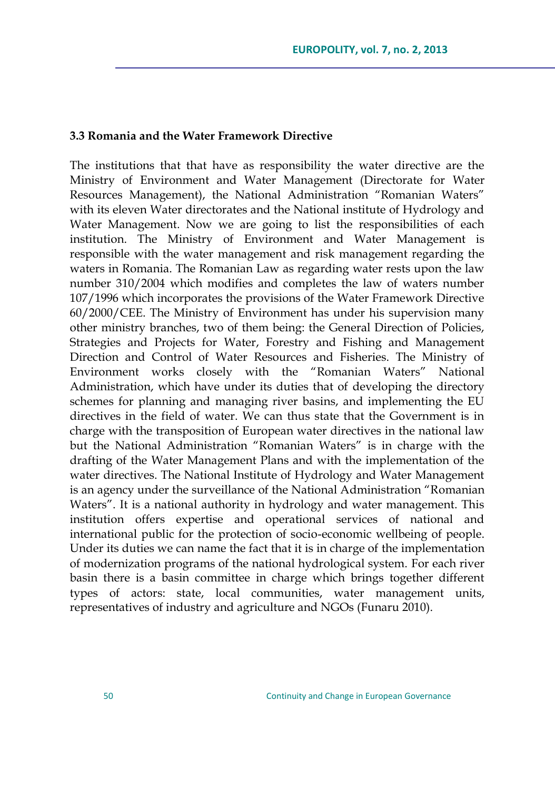#### **3.3 Romania and the Water Framework Directive**

The institutions that that have as responsibility the water directive are the Ministry of Environment and Water Management (Directorate for Water Resources Management), the National Administration "Romanian Waters" with its eleven Water directorates and the National institute of Hydrology and Water Management. Now we are going to list the responsibilities of each institution. The Ministry of Environment and Water Management is responsible with the water management and risk management regarding the waters in Romania. The Romanian Law as regarding water rests upon the law number 310/2004 which modifies and completes the law of waters number 107/1996 which incorporates the provisions of the Water Framework Directive 60/2000/CEE. The Ministry of Environment has under his supervision many other ministry branches, two of them being: the General Direction of Policies, Strategies and Projects for Water, Forestry and Fishing and Management Direction and Control of Water Resources and Fisheries. The Ministry of Environment works closely with the "Romanian Waters" National Administration, which have under its duties that of developing the directory schemes for planning and managing river basins, and implementing the EU directives in the field of water. We can thus state that the Government is in charge with the transposition of European water directives in the national law but the National Administration "Romanian Waters" is in charge with the drafting of the Water Management Plans and with the implementation of the water directives. The National Institute of Hydrology and Water Management is an agency under the surveillance of the National Administration "Romanian Waters". It is a national authority in hydrology and water management. This institution offers expertise and operational services of national and international public for the protection of socio-economic wellbeing of people. Under its duties we can name the fact that it is in charge of the implementation of modernization programs of the national hydrological system. For each river basin there is a basin committee in charge which brings together different types of actors: state, local communities, water management units, representatives of industry and agriculture and NGOs (Funaru 2010).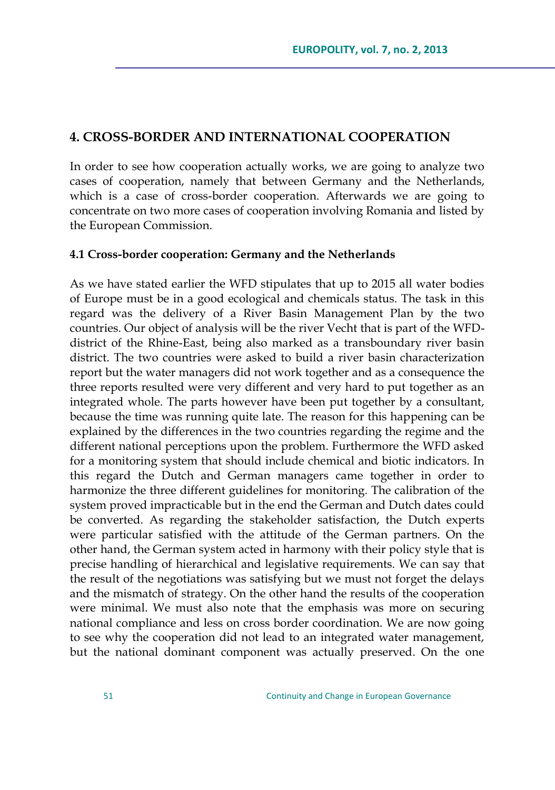# **4. CROSS-BORDER AND INTERNATIONAL COOPERATION**

In order to see how cooperation actually works, we are going to analyze two cases of cooperation, namely that between Germany and the Netherlands, which is a case of cross-border cooperation. Afterwards we are going to concentrate on two more cases of cooperation involving Romania and listed by the European Commission.

#### **4.1 Cross-border cooperation: Germany and the Netherlands**

As we have stated earlier the WFD stipulates that up to 2015 all water bodies of Europe must be in a good ecological and chemicals status. The task in this regard was the delivery of a River Basin Management Plan by the two countries. Our object of analysis will be the river Vecht that is part of the WFDdistrict of the Rhine-East, being also marked as a transboundary river basin district. The two countries were asked to build a river basin characterization report but the water managers did not work together and as a consequence the three reports resulted were very different and very hard to put together as an integrated whole. The parts however have been put together by a consultant, because the time was running quite late. The reason for this happening can be explained by the differences in the two countries regarding the regime and the different national perceptions upon the problem. Furthermore the WFD asked for a monitoring system that should include chemical and biotic indicators. In this regard the Dutch and German managers came together in order to harmonize the three different guidelines for monitoring. The calibration of the system proved impracticable but in the end the German and Dutch dates could be converted. As regarding the stakeholder satisfaction, the Dutch experts were particular satisfied with the attitude of the German partners. On the other hand, the German system acted in harmony with their policy style that is precise handling of hierarchical and legislative requirements. We can say that the result of the negotiations was satisfying but we must not forget the delays and the mismatch of strategy. On the other hand the results of the cooperation were minimal. We must also note that the emphasis was more on securing national compliance and less on cross border coordination. We are now going to see why the cooperation did not lead to an integrated water management, but the national dominant component was actually preserved. On the one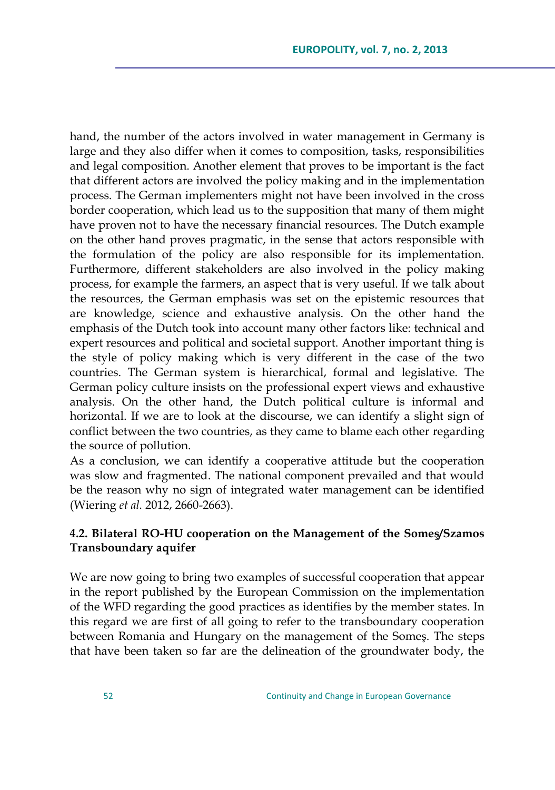hand, the number of the actors involved in water management in Germany is large and they also differ when it comes to composition, tasks, responsibilities and legal composition. Another element that proves to be important is the fact that different actors are involved the policy making and in the implementation process. The German implementers might not have been involved in the cross border cooperation, which lead us to the supposition that many of them might have proven not to have the necessary financial resources. The Dutch example on the other hand proves pragmatic, in the sense that actors responsible with the formulation of the policy are also responsible for its implementation. Furthermore, different stakeholders are also involved in the policy making process, for example the farmers, an aspect that is very useful. If we talk about the resources, the German emphasis was set on the epistemic resources that are knowledge, science and exhaustive analysis. On the other hand the emphasis of the Dutch took into account many other factors like: technical and expert resources and political and societal support. Another important thing is the style of policy making which is very different in the case of the two countries. The German system is hierarchical, formal and legislative. The German policy culture insists on the professional expert views and exhaustive analysis. On the other hand, the Dutch political culture is informal and horizontal. If we are to look at the discourse, we can identify a slight sign of conflict between the two countries, as they came to blame each other regarding the source of pollution.

As a conclusion, we can identify a cooperative attitude but the cooperation was slow and fragmented. The national component prevailed and that would be the reason why no sign of integrated water management can be identified (Wiering *et al.* 2012, 2660-2663).

# **4.2. Bilateral RO-HU cooperation on the Management of the Someş/Szamos Transboundary aquifer**

We are now going to bring two examples of successful cooperation that appear in the report published by the European Commission on the implementation of the WFD regarding the good practices as identifies by the member states. In this regard we are first of all going to refer to the transboundary cooperation between Romania and Hungary on the management of the Someş. The steps that have been taken so far are the delineation of the groundwater body, the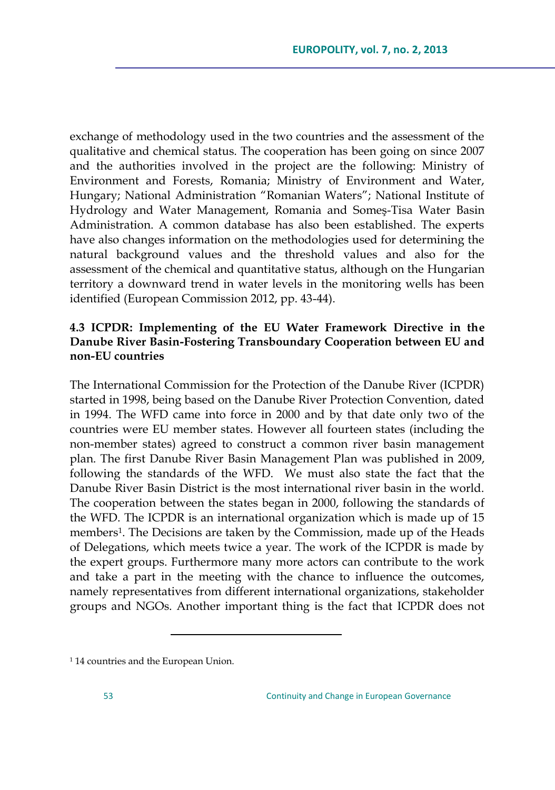exchange of methodology used in the two countries and the assessment of the qualitative and chemical status. The cooperation has been going on since 2007 and the authorities involved in the project are the following: Ministry of Environment and Forests, Romania; Ministry of Environment and Water, Hungary; National Administration "Romanian Waters"; National Institute of Hydrology and Water Management, Romania and Someş-Tisa Water Basin Administration. A common database has also been established. The experts have also changes information on the methodologies used for determining the natural background values and the threshold values and also for the assessment of the chemical and quantitative status, although on the Hungarian territory a downward trend in water levels in the monitoring wells has been identified (European Commission 2012, pp. 43-44).

# **4.3 ICPDR: Implementing of the EU Water Framework Directive in the Danube River Basin-Fostering Transboundary Cooperation between EU and non-EU countries**

The International Commission for the Protection of the Danube River (ICPDR) started in 1998, being based on the Danube River Protection Convention, dated in 1994. The WFD came into force in 2000 and by that date only two of the countries were EU member states. However all fourteen states (including the non-member states) agreed to construct a common river basin management plan. The first Danube River Basin Management Plan was published in 2009, following the standards of the WFD. We must also state the fact that the Danube River Basin District is the most international river basin in the world. The cooperation between the states began in 2000, following the standards of the WFD. The ICPDR is an international organization which is made up of 15 members<sup>1</sup>. The Decisions are taken by the Commission, made up of the Heads of Delegations, which meets twice a year. The work of the ICPDR is made by the expert groups. Furthermore many more actors can contribute to the work and take a part in the meeting with the chance to influence the outcomes, namely representatives from different international organizations, stakeholder groups and NGOs. Another important thing is the fact that ICPDR does not

<sup>1</sup> 14 countries and the European Union.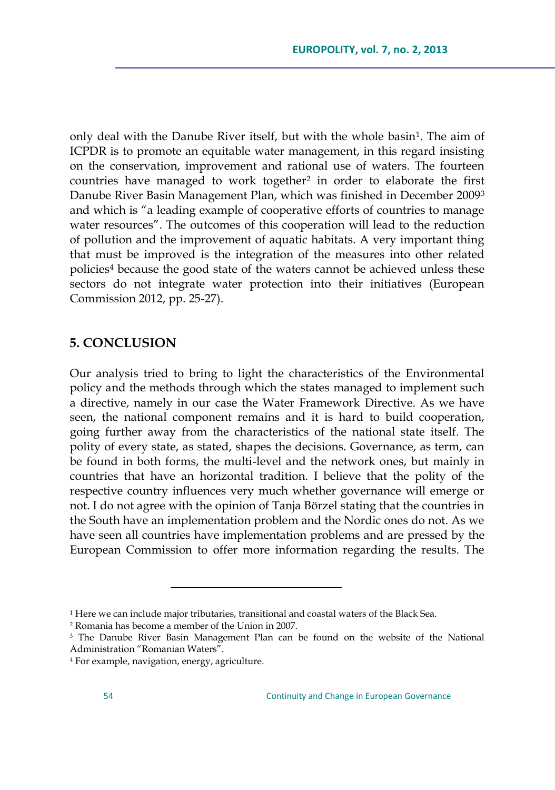only deal with the Danube River itself, but with the whole basin<sup>1</sup>. The aim of ICPDR is to promote an equitable water management, in this regard insisting on the conservation, improvement and rational use of waters. The fourteen countries have managed to work together<sup>2</sup> in order to elaborate the first Danube River Basin Management Plan, which was finished in December 2009<sup>3</sup> and which is "a leading example of cooperative efforts of countries to manage water resources". The outcomes of this cooperation will lead to the reduction of pollution and the improvement of aquatic habitats. A very important thing that must be improved is the integration of the measures into other related policies<sup>4</sup> because the good state of the waters cannot be achieved unless these sectors do not integrate water protection into their initiatives (European Commission 2012, pp. 25-27).

# **5. CONCLUSION**

Our analysis tried to bring to light the characteristics of the Environmental policy and the methods through which the states managed to implement such a directive, namely in our case the Water Framework Directive. As we have seen, the national component remains and it is hard to build cooperation, going further away from the characteristics of the national state itself. The polity of every state, as stated, shapes the decisions. Governance, as term, can be found in both forms, the multi-level and the network ones, but mainly in countries that have an horizontal tradition. I believe that the polity of the respective country influences very much whether governance will emerge or not. I do not agree with the opinion of Tanja Börzel stating that the countries in the South have an implementation problem and the Nordic ones do not. As we have seen all countries have implementation problems and are pressed by the European Commission to offer more information regarding the results. The

<sup>2</sup> Romania has become a member of the Union in 2007.

<sup>1</sup> Here we can include major tributaries, transitional and coastal waters of the Black Sea.

<sup>&</sup>lt;sup>3</sup> The Danube River Basin Management Plan can be found on the website of the National Administration "Romanian Waters".

<sup>4</sup> For example, navigation, energy, agriculture.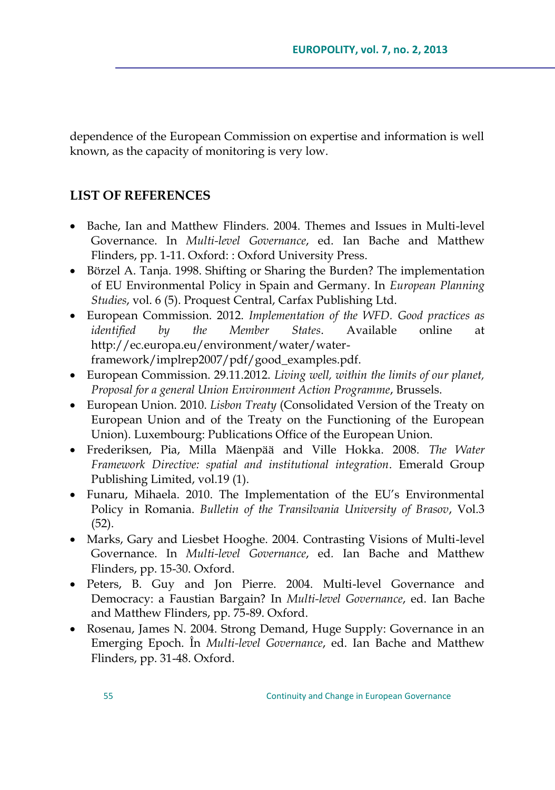dependence of the European Commission on expertise and information is well known, as the capacity of monitoring is very low.

# **LIST OF REFERENCES**

- Bache, Ian and Matthew Flinders. 2004. Themes and Issues in Multi-level Governance. In *Multi-level Governance*, ed. Ian Bache and Matthew Flinders, pp. 1-11. Oxford: : Oxford University Press.
- Börzel A. Tanja. 1998. Shifting or Sharing the Burden? The implementation of EU Environmental Policy in Spain and Germany. In *European Planning Studies*, vol. 6 (5). Proquest Central, Carfax Publishing Ltd.
- European Commission. 2012. *Implementation of the WFD. Good practices as identified by the Member States*. Available online at http://ec.europa.eu/environment/water/waterframework/implrep2007/pdf/good\_examples.pdf.
- European Commission. 29.11.2012. *Living well, within the limits of our planet, Proposal for a general Union Environment Action Programme*, Brussels.
- European Union. 2010. *Lisbon Treaty* (Consolidated Version of the Treaty on European Union and of the Treaty on the Functioning of the European Union). Luxembourg: Publications Office of the European Union.
- Frederiksen, Pia, Milla Mäenpää and Ville Hokka. 2008. *The Water Framework Directive: spatial and institutional integration*. Emerald Group Publishing Limited, vol.19 (1).
- Funaru, Mihaela. 2010. The Implementation of the EU"s Environmental Policy in Romania. *Bulletin of the Transilvania University of Brasov*, Vol.3 (52).
- Marks, Gary and Liesbet Hooghe. 2004. Contrasting Visions of Multi-level Governance. In *Multi-level Governance*, ed*.* Ian Bache and Matthew Flinders, pp. 15-30. Oxford.
- Peters, B. Guy and Jon Pierre. 2004. Multi-level Governance and Democracy: a Faustian Bargain? In *Multi-level Governance*, ed. Ian Bache and Matthew Flinders, pp. 75-89. Oxford.
- Rosenau, James N. 2004. Strong Demand, Huge Supply: Governance in an Emerging Epoch. În *Multi-level Governance*, ed. Ian Bache and Matthew Flinders, pp. 31-48. Oxford.